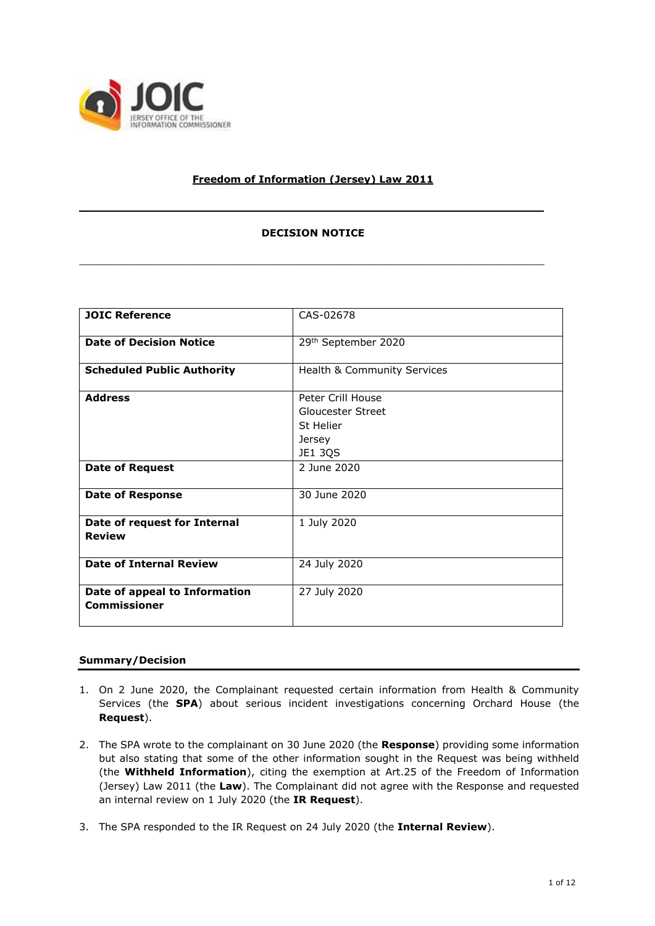

# **Freedom of Information (Jersey) Law 2011**

## **DECISION NOTICE**

\_\_\_\_\_\_\_\_\_\_\_\_\_\_\_\_\_\_\_\_\_\_\_\_\_\_\_\_\_\_\_\_\_\_\_\_\_\_\_\_\_\_\_\_\_\_\_\_\_\_\_\_\_\_\_\_\_\_\_\_\_\_\_\_\_\_\_\_\_\_\_\_\_\_

**\_\_\_\_\_\_\_\_\_\_\_\_\_\_\_\_\_\_\_\_\_\_\_\_\_\_\_\_\_\_\_\_\_\_\_\_\_\_\_\_\_\_\_\_\_\_\_\_\_\_\_\_\_\_\_\_\_\_\_\_\_\_\_\_\_\_**

| <b>JOIC Reference</b>                                | CAS-02678                                                                       |
|------------------------------------------------------|---------------------------------------------------------------------------------|
| <b>Date of Decision Notice</b>                       | 29th September 2020                                                             |
| <b>Scheduled Public Authority</b>                    | Health & Community Services                                                     |
| <b>Address</b>                                       | Peter Crill House<br><b>Gloucester Street</b><br>St Helier<br>Jersey<br>JE1 3QS |
| <b>Date of Request</b>                               | 2 June 2020                                                                     |
| <b>Date of Response</b>                              | 30 June 2020                                                                    |
| Date of request for Internal<br><b>Review</b>        | 1 July 2020                                                                     |
| <b>Date of Internal Review</b>                       | 24 July 2020                                                                    |
| Date of appeal to Information<br><b>Commissioner</b> | 27 July 2020                                                                    |

## **Summary/Decision**

- 1. On 2 June 2020, the Complainant requested certain information from Health & Community Services (the **SPA**) about serious incident investigations concerning Orchard House (the **Request**).
- 2. The SPA wrote to the complainant on 30 June 2020 (the **Response**) providing some information but also stating that some of the other information sought in the Request was being withheld (the **Withheld Information**), citing the exemption at Art.25 of the Freedom of Information (Jersey) Law 2011 (the **Law**). The Complainant did not agree with the Response and requested an internal review on 1 July 2020 (the **IR Request**).
- 3. The SPA responded to the IR Request on 24 July 2020 (the **Internal Review**).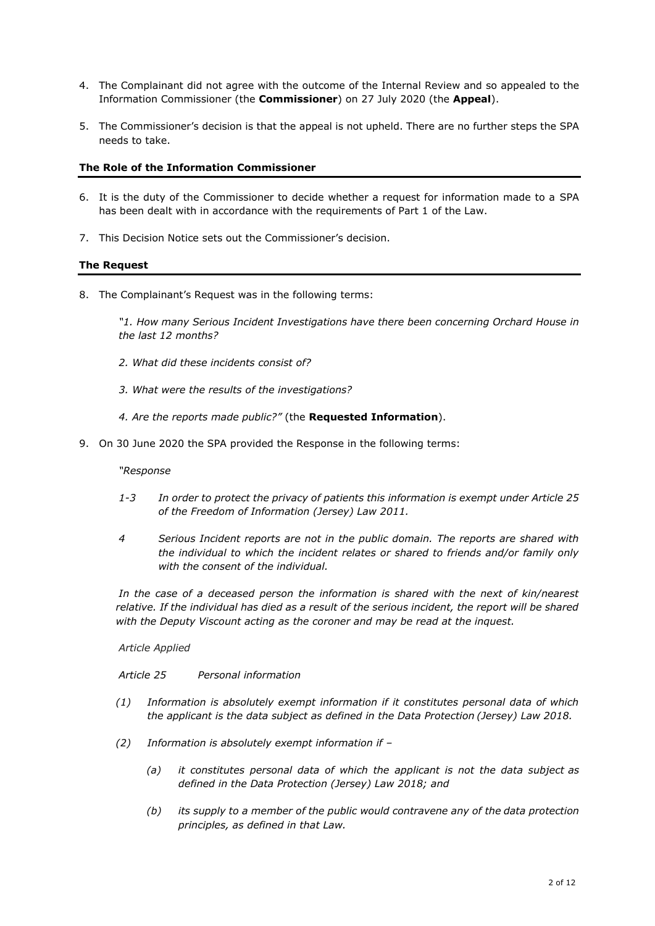- 4. The Complainant did not agree with the outcome of the Internal Review and so appealed to the Information Commissioner (the **Commissioner**) on 27 July 2020 (the **Appeal**).
- 5. The Commissioner's decision is that the appeal is not upheld. There are no further steps the SPA needs to take.

### **The Role of the Information Commissioner**

- 6. It is the duty of the Commissioner to decide whether a request for information made to a SPA has been dealt with in accordance with the requirements of Part 1 of the Law.
- 7. This Decision Notice sets out the Commissioner's decision.

### **The Request**

8. The Complainant's Request was in the following terms:

*"1. How many Serious Incident Investigations have there been concerning Orchard House in the last 12 months?* 

- *2. What did these incidents consist of?*
- *3. What were the results of the investigations?*
- *4. Are the reports made public?"* (the **Requested Information**).
- 9. On 30 June 2020 the SPA provided the Response in the following terms:

### *"Response*

- *1-3 In order to protect the privacy of patients this information is exempt under Article 25 of the Freedom of Information (Jersey) Law 2011.*
- *4 Serious Incident reports are not in the public domain. The reports are shared with the individual to which the incident relates or shared to friends and/or family only with the consent of the individual.*

*In the case of a deceased person the information is shared with the next of kin/nearest relative. If the individual has died as a result of the serious incident, the report will be shared with the Deputy Viscount acting as the coroner and may be read at the inquest.*

*Article Applied*

#### *Article 25 Personal information*

- *(1) Information is absolutely exempt information if it constitutes personal data of which the applicant is the data subject as defined in the Data Protection (Jersey) Law 2018.*
- *(2) Information is absolutely exempt information if –*
	- *(a) it constitutes personal data of which the applicant is not the data subject as defined in the Data Protection (Jersey) Law 2018; and*
	- *(b) its supply to a member of the public would contravene any of the data protection principles, as defined in that Law.*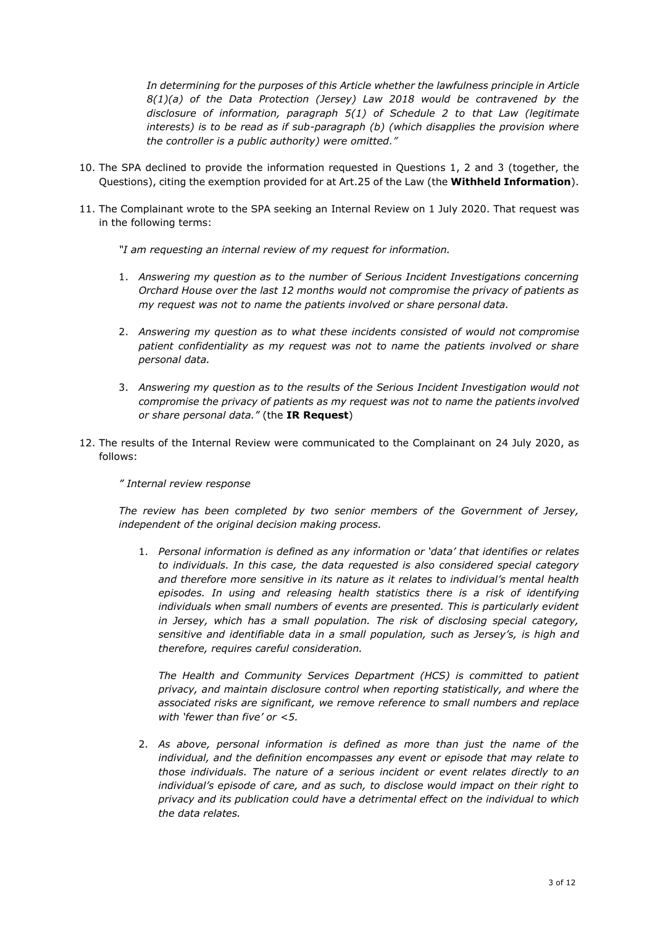In determining for the purposes of this Article whether the lawfulness principle in Article *8(1)(a) of the Data Protection (Jersey) Law 2018 would be contravened by the disclosure of information, paragraph 5(1) of Schedule 2 to that Law (legitimate interests) is to be read as if sub-paragraph (b) (which disapplies the provision where the controller is a public authority) were omitted."*

- 10. The SPA declined to provide the information requested in Questions 1, 2 and 3 (together, the Questions), citing the exemption provided for at Art.25 of the Law (the **Withheld Information**).
- 11. The Complainant wrote to the SPA seeking an Internal Review on 1 July 2020. That request was in the following terms:

*"I am requesting an internal review of my request for information.*

- 1. *Answering my question as to the number of Serious Incident Investigations concerning Orchard House over the last 12 months would not compromise the privacy of patients as my request was not to name the patients involved or share personal data.*
- 2. *Answering my question as to what these incidents consisted of would not compromise patient confidentiality as my request was not to name the patients involved or share personal data.*
- 3. *Answering my question as to the results of the Serious Incident Investigation would not compromise the privacy of patients as my request was not to name the patients involved or share personal data."* (the **IR Request**)
- 12. The results of the Internal Review were communicated to the Complainant on 24 July 2020, as follows:

#### *" Internal review response*

*The review has been completed by two senior members of the Government of Jersey, independent of the original decision making process.*

1. *Personal information is defined as any information or 'data' that identifies or relates to individuals. In this case, the data requested is also considered special category and therefore more sensitive in its nature as it relates to individual's mental health episodes. In using and releasing health statistics there is a risk of identifying*  individuals when small numbers of events are presented. This is particularly evident *in Jersey, which has a small population. The risk of disclosing special category, sensitive and identifiable data in a small population, such as Jersey's, is high and therefore, requires careful consideration.*

*The Health and Community Services Department (HCS) is committed to patient privacy, and maintain disclosure control when reporting statistically, and where the associated risks are significant, we remove reference to small numbers and replace with 'fewer than five' or <5.*

2. *As above, personal information is defined as more than just the name of the individual, and the definition encompasses any event or episode that may relate to those individuals. The nature of a serious incident or event relates directly to an individual's episode of care, and as such, to disclose would impact on their right to privacy and its publication could have a detrimental effect on the individual to which the data relates.*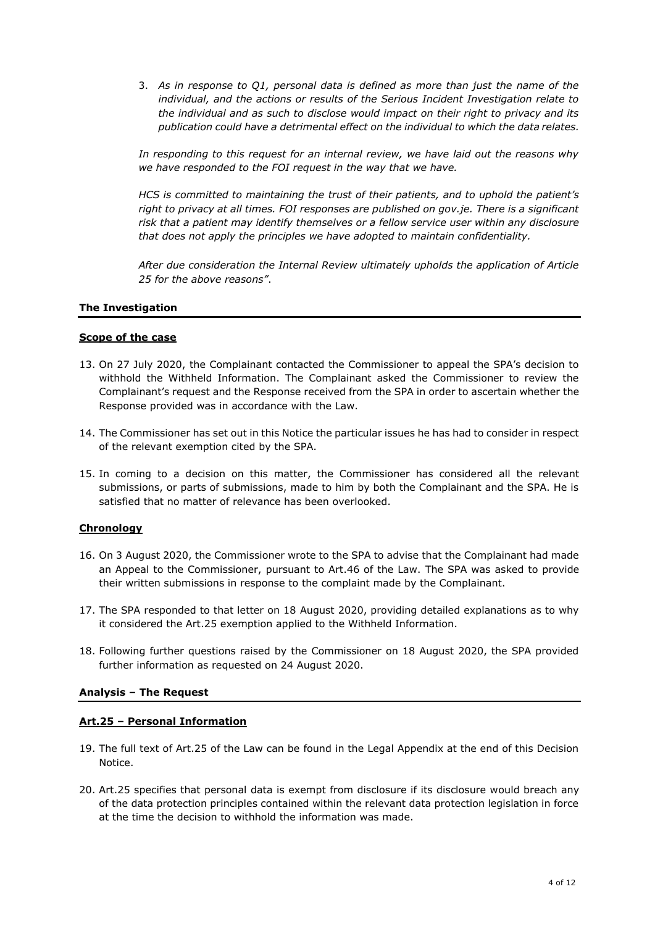3. *As in response to Q1, personal data is defined as more than just the name of the individual, and the actions or results of the Serious Incident Investigation relate to the individual and as such to disclose would impact on their right to privacy and its publication could have a detrimental effect on the individual to which the data relates.*

*In responding to this request for an internal review, we have laid out the reasons why we have responded to the FOI request in the way that we have.*

*HCS is committed to maintaining the trust of their patients, and to uphold the patient's right to privacy at all times. FOI responses are published on gov.je. There is a significant risk that a patient may identify themselves or a fellow service user within any disclosure that does not apply the principles we have adopted to maintain confidentiality.*

*After due consideration the Internal Review ultimately upholds the application of Article 25 for the above reasons"*.

#### **The Investigation**

#### **Scope of the case**

- 13. On 27 July 2020, the Complainant contacted the Commissioner to appeal the SPA's decision to withhold the Withheld Information. The Complainant asked the Commissioner to review the Complainant's request and the Response received from the SPA in order to ascertain whether the Response provided was in accordance with the Law.
- 14. The Commissioner has set out in this Notice the particular issues he has had to consider in respect of the relevant exemption cited by the SPA.
- 15. In coming to a decision on this matter, the Commissioner has considered all the relevant submissions, or parts of submissions, made to him by both the Complainant and the SPA. He is satisfied that no matter of relevance has been overlooked.

## **Chronology**

- 16. On 3 August 2020, the Commissioner wrote to the SPA to advise that the Complainant had made an Appeal to the Commissioner, pursuant to Art.46 of the Law. The SPA was asked to provide their written submissions in response to the complaint made by the Complainant.
- 17. The SPA responded to that letter on 18 August 2020, providing detailed explanations as to why it considered the Art.25 exemption applied to the Withheld Information.
- 18. Following further questions raised by the Commissioner on 18 August 2020, the SPA provided further information as requested on 24 August 2020.

#### **Analysis – The Request**

#### **Art.25 – Personal Information**

- 19. The full text of Art.25 of the Law can be found in the Legal Appendix at the end of this Decision Notice.
- 20. Art.25 specifies that personal data is exempt from disclosure if its disclosure would breach any of the data protection principles contained within the relevant data protection legislation in force at the time the decision to withhold the information was made.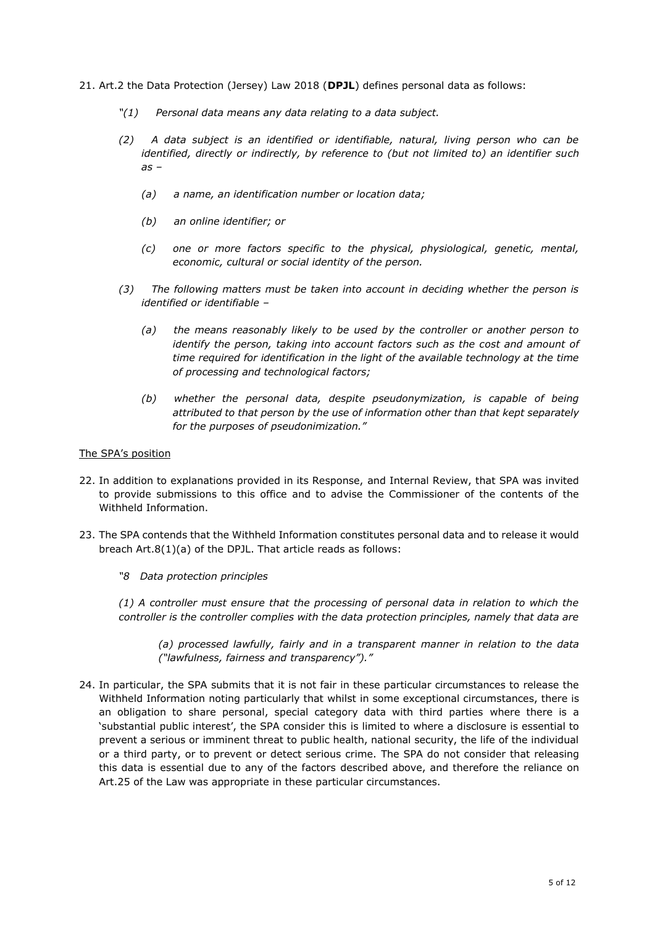- 21. Art.2 the Data Protection (Jersey) Law 2018 (**DPJL**) defines personal data as follows:
	- *"(1) Personal data means any data relating to a data subject.*
	- *(2) A data subject is an identified or identifiable, natural, living person who can be identified, directly or indirectly, by reference to (but not limited to) an identifier such as –*
		- *(a) a name, an identification number or location data;*
		- *(b) an online identifier; or*
		- *(c) one or more factors specific to the physical, physiological, genetic, mental, economic, cultural or social identity of the person.*
	- *(3) The following matters must be taken into account in deciding whether the person is identified or identifiable –*
		- *(a) the means reasonably likely to be used by the controller or another person to identify the person, taking into account factors such as the cost and amount of time required for identification in the light of the available technology at the time of processing and technological factors;*
		- *(b) whether the personal data, despite pseudonymization, is capable of being attributed to that person by the use of information other than that kept separately for the purposes of pseudonimization."*

#### The SPA's position

- 22. In addition to explanations provided in its Response, and Internal Review, that SPA was invited to provide submissions to this office and to advise the Commissioner of the contents of the Withheld Information.
- 23. The SPA contends that the Withheld Information constitutes personal data and to release it would breach Art.8(1)(a) of the DPJL. That article reads as follows:
	- *"8 Data protection principles*

*(1) A controller must ensure that the processing of personal data in relation to which the controller is the controller complies with the data protection principles, namely that data are* 

*(a) processed lawfully, fairly and in a transparent manner in relation to the data ("lawfulness, fairness and transparency")."* 

24. In particular, the SPA submits that it is not fair in these particular circumstances to release the Withheld Information noting particularly that whilst in some exceptional circumstances, there is an obligation to share personal, special category data with third parties where there is a 'substantial public interest', the SPA consider this is limited to where a disclosure is essential to prevent a serious or imminent threat to public health, national security, the life of the individual or a third party, or to prevent or detect serious crime. The SPA do not consider that releasing this data is essential due to any of the factors described above, and therefore the reliance on Art.25 of the Law was appropriate in these particular circumstances.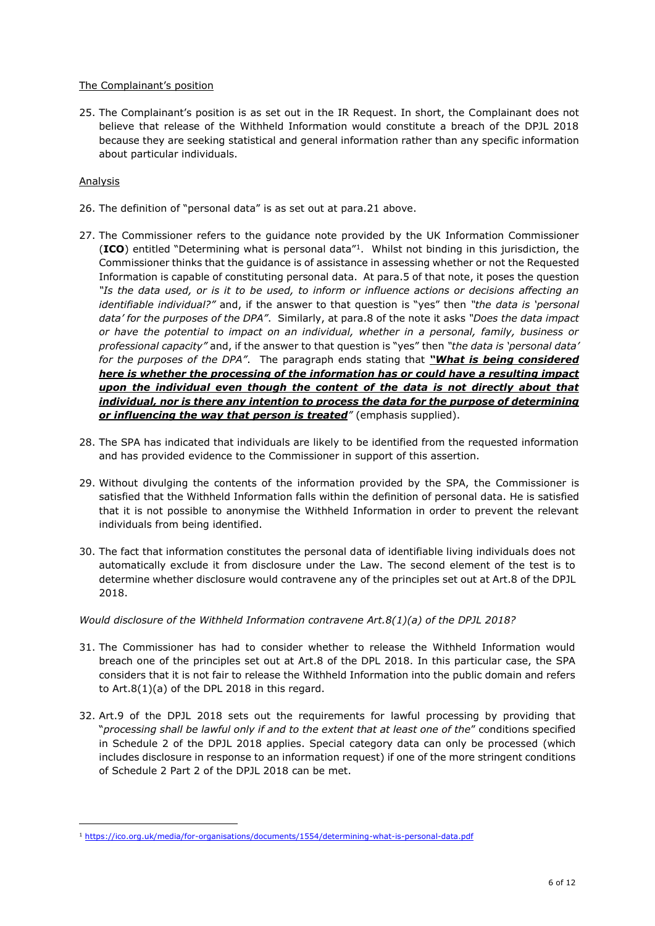### The Complainant's position

25. The Complainant's position is as set out in the IR Request. In short, the Complainant does not believe that release of the Withheld Information would constitute a breach of the DPJL 2018 because they are seeking statistical and general information rather than any specific information about particular individuals.

## Analysis

-

- 26. The definition of "personal data" is as set out at para.21 above.
- 27. The Commissioner refers to the guidance note provided by the UK Information Commissioner (**ICO**) entitled "Determining what is personal data"<sup>1</sup> . Whilst not binding in this jurisdiction, the Commissioner thinks that the guidance is of assistance in assessing whether or not the Requested Information is capable of constituting personal data. At para.5 of that note, it poses the question *"Is the data used, or is it to be used, to inform or influence actions or decisions affecting an identifiable individual?"* and, if the answer to that question is "yes" then *"the data is 'personal data' for the purposes of the DPA"*. Similarly, at para.8 of the note it asks *"Does the data impact or have the potential to impact on an individual, whether in a personal, family, business or professional capacity"* and, if the answer to that question is "yes" then *"the data is 'personal data' for the purposes of the DPA"*. The paragraph ends stating that *"What is being considered here is whether the processing of the information has or could have a resulting impact upon the individual even though the content of the data is not directly about that individual, nor is there any intention to process the data for the purpose of determining or influencing the way that person is treated"* (emphasis supplied).
- 28. The SPA has indicated that individuals are likely to be identified from the requested information and has provided evidence to the Commissioner in support of this assertion.
- 29. Without divulging the contents of the information provided by the SPA, the Commissioner is satisfied that the Withheld Information falls within the definition of personal data. He is satisfied that it is not possible to anonymise the Withheld Information in order to prevent the relevant individuals from being identified.
- 30. The fact that information constitutes the personal data of identifiable living individuals does not automatically exclude it from disclosure under the Law. The second element of the test is to determine whether disclosure would contravene any of the principles set out at Art.8 of the DPJL 2018.

#### *Would disclosure of the Withheld Information contravene Art.8(1)(a) of the DPJL 2018?*

- 31. The Commissioner has had to consider whether to release the Withheld Information would breach one of the principles set out at Art.8 of the DPL 2018. In this particular case, the SPA considers that it is not fair to release the Withheld Information into the public domain and refers to Art.8(1)(a) of the DPL 2018 in this regard.
- 32. Art.9 of the DPJL 2018 sets out the requirements for lawful processing by providing that "*processing shall be lawful only if and to the extent that at least one of the*" conditions specified in Schedule 2 of the DPJL 2018 applies. Special category data can only be processed (which includes disclosure in response to an information request) if one of the more stringent conditions of Schedule 2 Part 2 of the DPJL 2018 can be met.

<sup>1</sup> <https://ico.org.uk/media/for-organisations/documents/1554/determining-what-is-personal-data.pdf>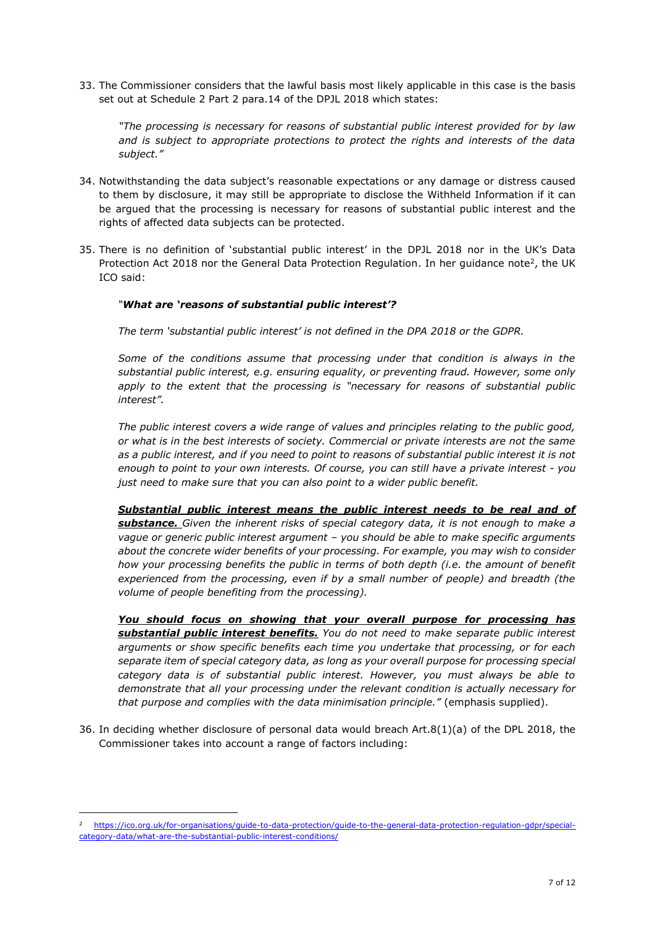33. The Commissioner considers that the lawful basis most likely applicable in this case is the basis set out at Schedule 2 Part 2 para.14 of the DPJL 2018 which states:

*"The processing is necessary for reasons of substantial public interest provided for by law and is subject to appropriate protections to protect the rights and interests of the data subject."* 

- 34. Notwithstanding the data subject's reasonable expectations or any damage or distress caused to them by disclosure, it may still be appropriate to disclose the Withheld Information if it can be argued that the processing is necessary for reasons of substantial public interest and the rights of affected data subjects can be protected.
- 35. There is no definition of 'substantial public interest' in the DPJL 2018 nor in the UK's Data Protection Act 2018 nor the General Data Protection Regulation. In her guidance note<sup>2</sup>, the UK ICO said:

## *"What are 'reasons of substantial public interest'?*

*The term 'substantial public interest' is not defined in the DPA 2018 or the GDPR.*

*Some of the conditions assume that processing under that condition is always in the substantial public interest, e.g. ensuring equality, or preventing fraud. However, some only*  apply to the extent that the processing is "necessary for reasons of substantial public *interest".*

*The public interest covers a wide range of values and principles relating to the public good, or what is in the best interests of society. Commercial or private interests are not the same as a public interest, and if you need to point to reasons of substantial public interest it is not enough to point to your own interests. Of course, you can still have a private interest - you just need to make sure that you can also point to a wider public benefit.*

*Substantial public interest means the public interest needs to be real and of substance. Given the inherent risks of special category data, it is not enough to make a vague or generic public interest argument – you should be able to make specific arguments about the concrete wider benefits of your processing. For example, you may wish to consider how your processing benefits the public in terms of both depth (i.e. the amount of benefit experienced from the processing, even if by a small number of people) and breadth (the volume of people benefiting from the processing).*

*You should focus on showing that your overall purpose for processing has substantial public interest benefits. You do not need to make separate public interest arguments or show specific benefits each time you undertake that processing, or for each separate item of special category data, as long as your overall purpose for processing special category data is of substantial public interest. However, you must always be able to demonstrate that all your processing under the relevant condition is actually [necessary](https://ico.org.uk/for-organisations/guide-to-data-protection/guide-to-the-general-data-protection-regulation-gdpr/special-category-data/what-are-the-rules-on-special-category-data/#scd5) for that purpose and complies with the data minimisation principle."* (emphasis supplied).

36. In deciding whether disclosure of personal data would breach Art.8(1)(a) of the DPL 2018, the Commissioner takes into account a range of factors including:

-

<sup>2</sup> [https://ico.org.uk/for-organisations/guide-to-data-protection/guide-to-the-general-data-protection-regulation-gdpr/special](https://ico.org.uk/for-organisations/guide-to-data-protection/guide-to-the-general-data-protection-regulation-gdpr/special-category-data/what-are-the-substantial-public-interest-conditions/)[category-data/what-are-the-substantial-public-interest-conditions/](https://ico.org.uk/for-organisations/guide-to-data-protection/guide-to-the-general-data-protection-regulation-gdpr/special-category-data/what-are-the-substantial-public-interest-conditions/)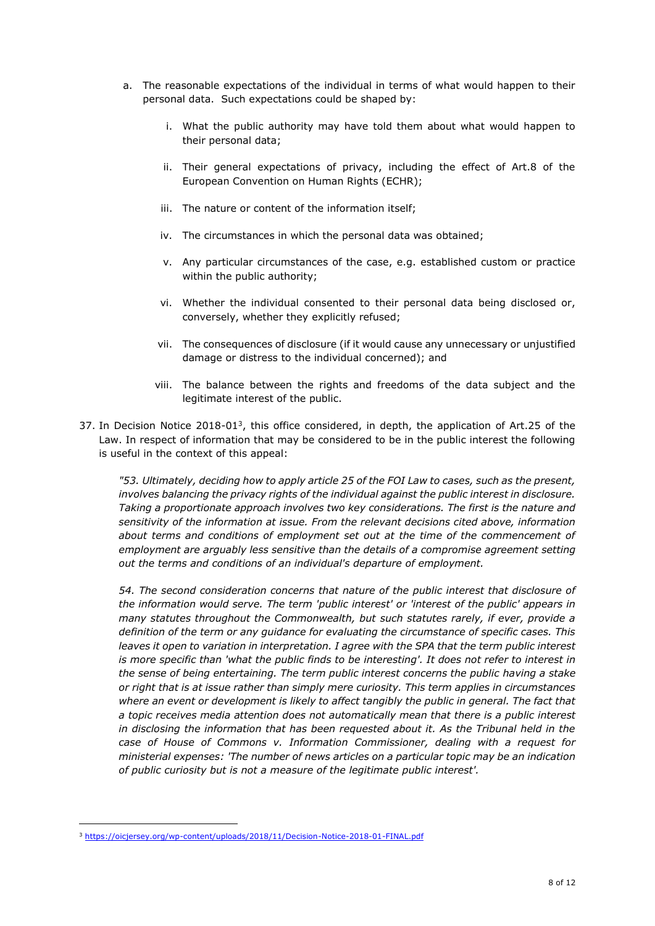- a. The reasonable expectations of the individual in terms of what would happen to their personal data. Such expectations could be shaped by:
	- i. What the public authority may have told them about what would happen to their personal data;
	- ii. Their general expectations of privacy, including the effect of Art.8 of the European Convention on Human Rights (ECHR);
	- iii. The nature or content of the information itself;
	- iv. The circumstances in which the personal data was obtained;
	- v. Any particular circumstances of the case, e.g. established custom or practice within the public authority;
	- vi. Whether the individual consented to their personal data being disclosed or, conversely, whether they explicitly refused;
	- vii. The consequences of disclosure (if it would cause any unnecessary or unjustified damage or distress to the individual concerned); and
	- viii. The balance between the rights and freedoms of the data subject and the legitimate interest of the public.
- 37. In Decision Notice  $2018-01<sup>3</sup>$ , this office considered, in depth, the application of Art.25 of the Law. In respect of information that may be considered to be in the public interest the following is useful in the context of this appeal:

*"53. Ultimately, deciding how to apply article 25 of the FOI Law to cases, such as the present, involves balancing the privacy rights of the individual against the public interest in disclosure. Taking a proportionate approach involves two key considerations. The first is the nature and sensitivity of the information at issue. From the relevant decisions cited above, information about terms and conditions of employment set out at the time of the commencement of employment are arguably less sensitive than the details of a compromise agreement setting out the terms and conditions of an individual's departure of employment.*

*54. The second consideration concerns that nature of the public interest that disclosure of the information would serve. The term 'public interest' or 'interest of the public' appears in many statutes throughout the Commonwealth, but such statutes rarely, if ever, provide a definition of the term or any guidance for evaluating the circumstance of specific cases. This leaves it open to variation in interpretation. I agree with the SPA that the term public interest is more specific than 'what the public finds to be interesting'. It does not refer to interest in the sense of being entertaining. The term public interest concerns the public having a stake or right that is at issue rather than simply mere curiosity. This term applies in circumstances where an event or development is likely to affect tangibly the public in general. The fact that a topic receives media attention does not automatically mean that there is a public interest in disclosing the information that has been requested about it. As the Tribunal held in the case of House of Commons v. Information Commissioner, dealing with a request for ministerial expenses: 'The number of news articles on a particular topic may be an indication of public curiosity but is not a measure of the legitimate public interest'.*

-

<sup>3</sup> <https://oicjersey.org/wp-content/uploads/2018/11/Decision-Notice-2018-01-FINAL.pdf>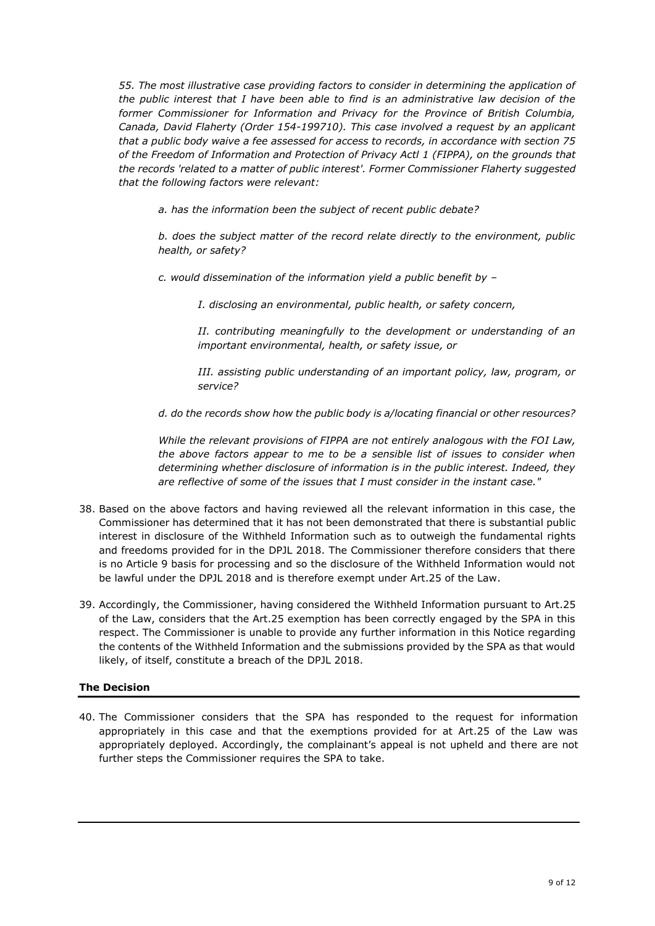*55. The most illustrative case providing factors to consider in determining the application of the public interest that I have been able to find is an administrative law decision of the former Commissioner for Information and Privacy for the Province of British Columbia, Canada, David Flaherty (Order 154-199710). This case involved a request by an applicant that a public body waive a fee assessed for access to records, in accordance with section 75 of the Freedom of Information and Protection of Privacy Actl 1 (FIPPA), on the grounds that the records 'related to a matter of public interest'. Former Commissioner Flaherty suggested that the following factors were relevant:*

*a. has the information been the subject of recent public debate?*

*b. does the subject matter of the record relate directly to the environment, public health, or safety?*

*c. would dissemination of the information yield a public benefit by –*

*I. disclosing an environmental, public health, or safety concern,*

*II. contributing meaningfully to the development or understanding of an important environmental, health, or safety issue, or*

*III. assisting public understanding of an important policy, law, program, or service?*

*d. do the records show how the public body is a/locating financial or other resources?*

*While the relevant provisions of FIPPA are not entirely analogous with the FOI Law, the above factors appear to me to be a sensible list of issues to consider when determining whether disclosure of information is in the public interest. Indeed, they are reflective of some of the issues that I must consider in the instant case."*

- 38. Based on the above factors and having reviewed all the relevant information in this case, the Commissioner has determined that it has not been demonstrated that there is substantial public interest in disclosure of the Withheld Information such as to outweigh the fundamental rights and freedoms provided for in the DPJL 2018. The Commissioner therefore considers that there is no Article 9 basis for processing and so the disclosure of the Withheld Information would not be lawful under the DPJL 2018 and is therefore exempt under Art.25 of the Law.
- 39. Accordingly, the Commissioner, having considered the Withheld Information pursuant to Art.25 of the Law, considers that the Art.25 exemption has been correctly engaged by the SPA in this respect. The Commissioner is unable to provide any further information in this Notice regarding the contents of the Withheld Information and the submissions provided by the SPA as that would likely, of itself, constitute a breach of the DPJL 2018.

## **The Decision**

40. The Commissioner considers that the SPA has responded to the request for information appropriately in this case and that the exemptions provided for at Art.25 of the Law was appropriately deployed. Accordingly, the complainant's appeal is not upheld and there are not further steps the Commissioner requires the SPA to take.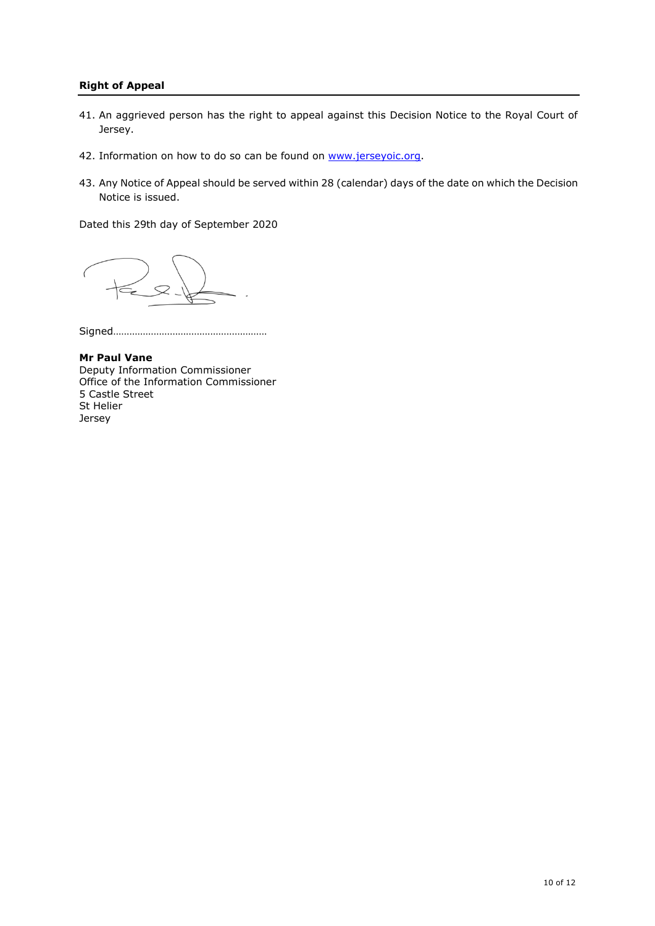### **Right of Appeal**

- 41. An aggrieved person has the right to appeal against this Decision Notice to the Royal Court of Jersey.
- 42. Information on how to do so can be found on [www.jerseyoic.org.](http://www.jerseyoic.org/)
- 43. Any Notice of Appeal should be served within 28 (calendar) days of the date on which the Decision Notice is issued.

Dated this 29th day of September 2020

Signed…………………………………………………

**Mr Paul Vane** Deputy Information Commissioner Office of the Information Commissioner 5 Castle Street St Helier Jersey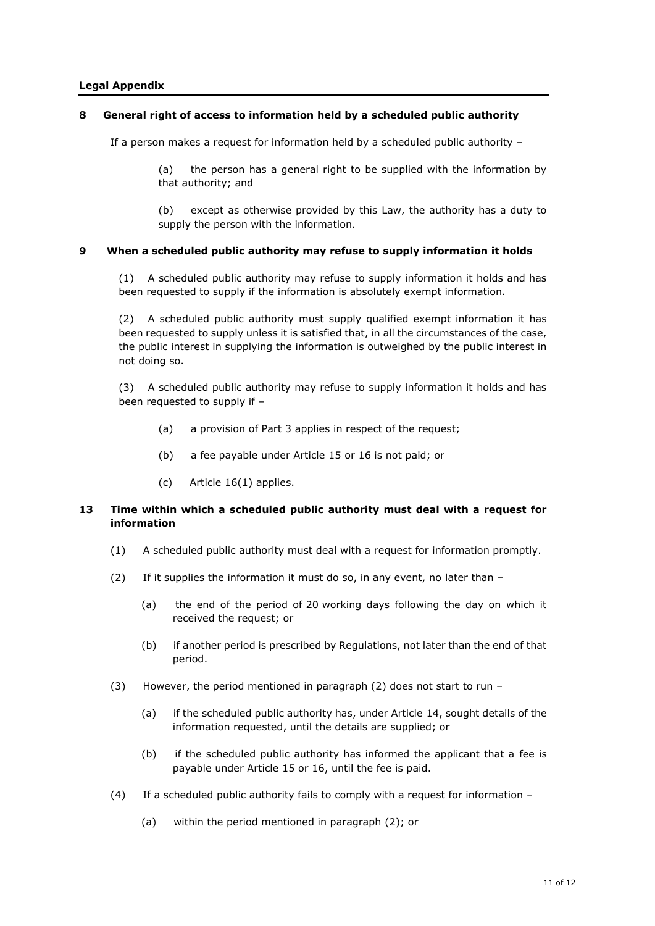#### **Legal Appendix**

#### **8 General right of access to information held by a scheduled public authority**

If a person makes a request for information held by a scheduled public authority –

(a) the person has a general right to be supplied with the information by that authority; and

(b) except as otherwise provided by this Law, the authority has a duty to supply the person with the information.

#### **9 When a scheduled public authority may refuse to supply information it holds**

(1) A scheduled public authority may refuse to supply information it holds and has been requested to supply if the information is absolutely exempt information.

(2) A scheduled public authority must supply qualified exempt information it has been requested to supply unless it is satisfied that, in all the circumstances of the case, the public interest in supplying the information is outweighed by the public interest in not doing so.

(3) A scheduled public authority may refuse to supply information it holds and has been requested to supply if –

- (a) a provision of Part 3 applies in respect of the request;
- (b) a fee payable under Article 15 or 16 is not paid; or
- (c) Article 16(1) applies.

### **13 Time within which a scheduled public authority must deal with a request for information**

- (1) A scheduled public authority must deal with a request for information promptly.
- (2) If it supplies the information it must do so, in any event, no later than
	- (a) the end of the period of 20 working days following the day on which it received the request; or
	- (b) if another period is prescribed by Regulations, not later than the end of that period.
- (3) However, the period mentioned in paragraph (2) does not start to run
	- (a) if the scheduled public authority has, under Article 14, sought details of the information requested, until the details are supplied; or
	- (b) if the scheduled public authority has informed the applicant that a fee is payable under Article 15 or 16, until the fee is paid.
- (4) If a scheduled public authority fails to comply with a request for information
	- (a) within the period mentioned in paragraph (2); or